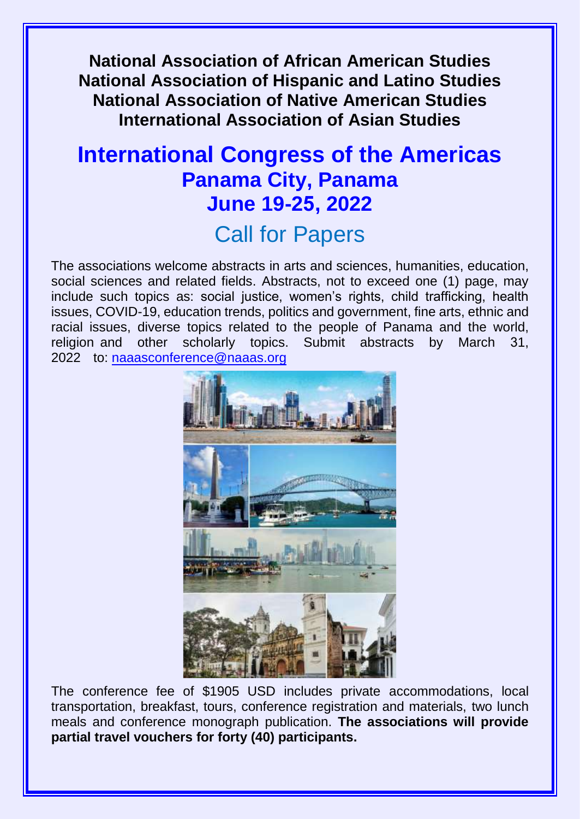**National Association of African American Studies National Association of Hispanic and Latino Studies National Association of Native American Studies International Association of Asian Studies** 

# **International Congress of the Americas Panama City, Panama June 19-25, 2022**

## Call for Papers

The associations welcome abstracts in arts and sciences, humanities, education, social sciences and related fields. Abstracts, not to exceed one (1) page, may include such topics as: social justice, women's rights, child trafficking, health issues, COVID-19, education trends, politics and government, fine arts, ethnic and racial issues, diverse topics related to the people of Panama and the world, religion and other scholarly topics. Submit abstracts by March 31, [2022 to: naaasconference@](mailto:naaasconference@naaas.org)naaas.org



The conference fee of \$1905 USD includes private accommodations, local transportation, breakfast, tours, conference registration and materials, two lunch meals and conference monograph publication. **The associations will provide partial travel vouchers for forty (40) participants.**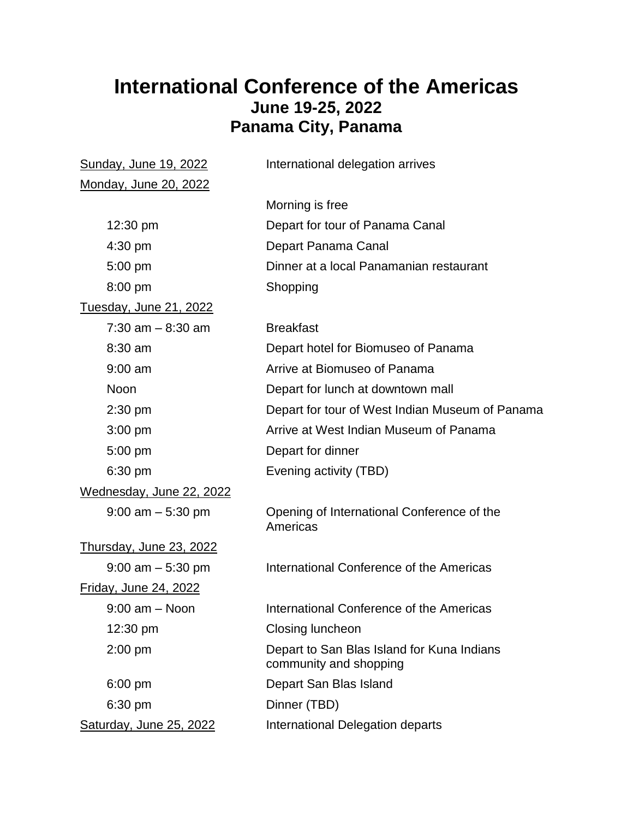### **International Conference of the Americas June 19-25, 2022 Panama City, Panama**

| <b>Sunday, June 19, 2022</b>   | International delegation arrives                                     |
|--------------------------------|----------------------------------------------------------------------|
| <b>Monday, June 20, 2022</b>   |                                                                      |
|                                | Morning is free                                                      |
| 12:30 pm                       | Depart for tour of Panama Canal                                      |
| 4:30 pm                        | Depart Panama Canal                                                  |
| 5:00 pm                        | Dinner at a local Panamanian restaurant                              |
| 8:00 pm                        | Shopping                                                             |
| Tuesday, June 21, 2022         |                                                                      |
| $7:30$ am $-8:30$ am           | <b>Breakfast</b>                                                     |
| 8:30 am                        | Depart hotel for Biomuseo of Panama                                  |
| $9:00$ am                      | Arrive at Biomuseo of Panama                                         |
| Noon                           | Depart for lunch at downtown mall                                    |
| $2:30$ pm                      | Depart for tour of West Indian Museum of Panama                      |
| $3:00$ pm                      | Arrive at West Indian Museum of Panama                               |
| 5:00 pm                        | Depart for dinner                                                    |
| 6:30 pm                        | Evening activity (TBD)                                               |
| Wednesday, June 22, 2022       |                                                                      |
| $9:00$ am $-5:30$ pm           | Opening of International Conference of the<br>Americas               |
| <u>Thursday, June 23, 2022</u> |                                                                      |
| $9:00$ am $-5:30$ pm           | International Conference of the Americas                             |
| <u>Friday, June 24, 2022</u>   |                                                                      |
| $9:00$ am $-$ Noon             | International Conference of the Americas                             |
| 12:30 pm                       | Closing luncheon                                                     |
| $2:00$ pm                      | Depart to San Blas Island for Kuna Indians<br>community and shopping |
| $6:00$ pm                      | Depart San Blas Island                                               |
| 6:30 pm                        | Dinner (TBD)                                                         |
| Saturday, June 25, 2022        | International Delegation departs                                     |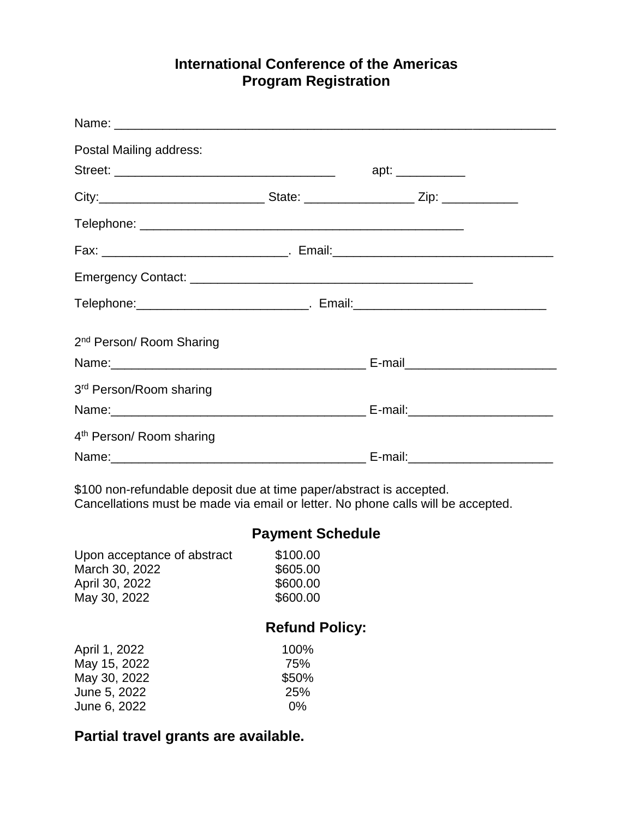#### **International Conference of the Americas Program Registration**

| Postal Mailing address:                                                           |                                     |  |
|-----------------------------------------------------------------------------------|-------------------------------------|--|
|                                                                                   | apt: __________                     |  |
|                                                                                   |                                     |  |
|                                                                                   |                                     |  |
|                                                                                   |                                     |  |
|                                                                                   |                                     |  |
| Telephone: __________________________________. Email: ___________________________ |                                     |  |
| 2 <sup>nd</sup> Person/ Room Sharing                                              |                                     |  |
|                                                                                   |                                     |  |
| 3rd Person/Room sharing                                                           |                                     |  |
|                                                                                   |                                     |  |
| 4 <sup>th</sup> Person/ Room sharing                                              |                                     |  |
|                                                                                   | E-mail:____________________________ |  |

\$100 non-refundable deposit due at time paper/abstract is accepted. Cancellations must be made via email or letter. No phone calls will be accepted.

#### **Payment Schedule**

Upon acceptance of abstract \$100.00 March 30, 2022 \$605.00 April 30, 2022<br>May 30, 2022 \$600.00 May 30, 2022

#### **Refund Policy:**

| April 1, 2022 | 100%  |
|---------------|-------|
| May 15, 2022  | 75%   |
| May 30, 2022  | \$50% |
| June 5, 2022  | 25%   |
| June 6, 2022  | $0\%$ |

#### **Partial travel grants are available.**